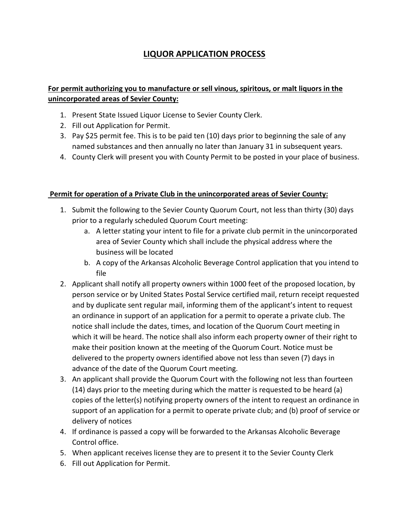## **LIQUOR APPLICATION PROCESS**

## **For permit authorizing you to manufacture or sell vinous, spiritous, or malt liquors in the unincorporated areas of Sevier County:**

- 1. Present State Issued Liquor License to Sevier County Clerk.
- 2. Fill out Application for Permit.
- 3. Pay \$25 permit fee. This is to be paid ten (10) days prior to beginning the sale of any named substances and then annually no later than January 31 in subsequent years.
- 4. County Clerk will present you with County Permit to be posted in your place of business.

## **Permit for operation of a Private Club in the unincorporated areas of Sevier County:**

- 1. Submit the following to the Sevier County Quorum Court, not less than thirty (30) days prior to a regularly scheduled Quorum Court meeting:
	- a. A letter stating your intent to file for a private club permit in the unincorporated area of Sevier County which shall include the physical address where the business will be located
	- b. A copy of the Arkansas Alcoholic Beverage Control application that you intend to file
- 2. Applicant shall notify all property owners within 1000 feet of the proposed location, by person service or by United States Postal Service certified mail, return receipt requested and by duplicate sent regular mail, informing them of the applicant's intent to request an ordinance in support of an application for a permit to operate a private club. The notice shall include the dates, times, and location of the Quorum Court meeting in which it will be heard. The notice shall also inform each property owner of their right to make their position known at the meeting of the Quorum Court. Notice must be delivered to the property owners identified above not less than seven (7) days in advance of the date of the Quorum Court meeting.
- 3. An applicant shall provide the Quorum Court with the following not less than fourteen (14) days prior to the meeting during which the matter is requested to be heard (a) copies of the letter(s) notifying property owners of the intent to request an ordinance in support of an application for a permit to operate private club; and (b) proof of service or delivery of notices
- 4. If ordinance is passed a copy will be forwarded to the Arkansas Alcoholic Beverage Control office.
- 5. When applicant receives license they are to present it to the Sevier County Clerk
- 6. Fill out Application for Permit.